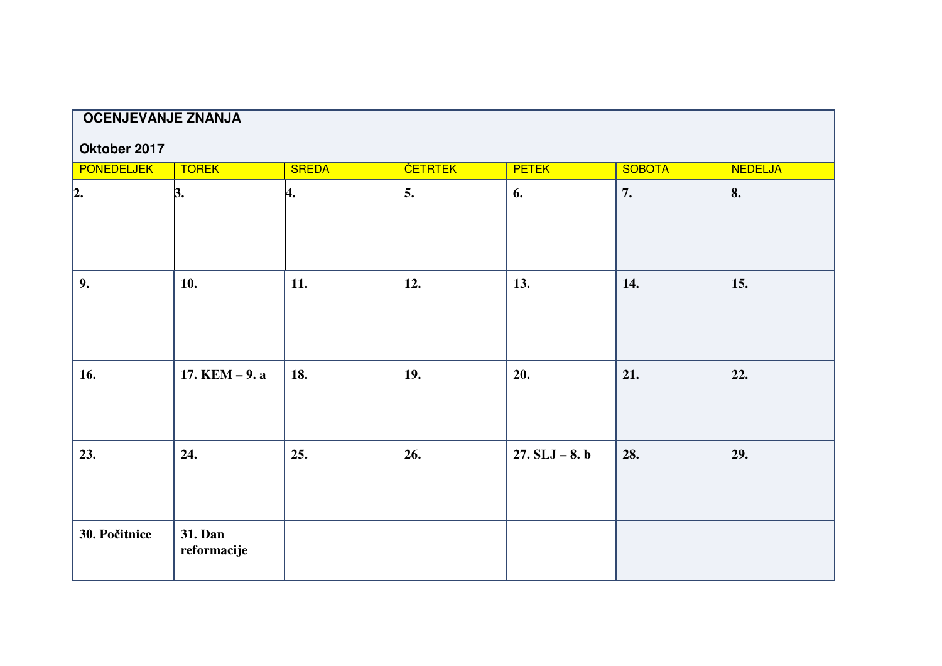| <b>OCENJEVANJE ZNANJA</b>                                                                                                              |                  |     |     |                  |     |     |  |  |
|----------------------------------------------------------------------------------------------------------------------------------------|------------------|-----|-----|------------------|-----|-----|--|--|
|                                                                                                                                        |                  |     |     |                  |     |     |  |  |
| Oktober 2017<br><b>PONEDELJEK</b><br><b>TOREK</b><br><b>ČETRTEK</b><br><b>PETEK</b><br><b>NEDELJA</b><br><b>SREDA</b><br><b>SOBOTA</b> |                  |     |     |                  |     |     |  |  |
|                                                                                                                                        |                  |     |     |                  |     |     |  |  |
| $\vert$ 2.                                                                                                                             | 3.               | 4.  | 5.  | 6.               | 7.  | 8.  |  |  |
|                                                                                                                                        |                  |     |     |                  |     |     |  |  |
|                                                                                                                                        |                  |     |     |                  |     |     |  |  |
|                                                                                                                                        |                  |     |     |                  |     |     |  |  |
| 9.                                                                                                                                     | 10.              | 11. | 12. | 13.              | 14. | 15. |  |  |
|                                                                                                                                        |                  |     |     |                  |     |     |  |  |
|                                                                                                                                        |                  |     |     |                  |     |     |  |  |
|                                                                                                                                        |                  |     |     |                  |     |     |  |  |
|                                                                                                                                        |                  |     |     |                  |     |     |  |  |
| 16.                                                                                                                                    | 17. $KEM - 9. a$ | 18. | 19. | 20.              | 21. | 22. |  |  |
|                                                                                                                                        |                  |     |     |                  |     |     |  |  |
|                                                                                                                                        |                  |     |     |                  |     |     |  |  |
|                                                                                                                                        |                  |     |     |                  |     |     |  |  |
| 23.                                                                                                                                    | 24.              | 25. | 26. | $27. SLJ - 8. b$ | 28. | 29. |  |  |
|                                                                                                                                        |                  |     |     |                  |     |     |  |  |
|                                                                                                                                        |                  |     |     |                  |     |     |  |  |
|                                                                                                                                        |                  |     |     |                  |     |     |  |  |
| 30. Počitnice                                                                                                                          | 31. Dan          |     |     |                  |     |     |  |  |
|                                                                                                                                        | reformacije      |     |     |                  |     |     |  |  |
|                                                                                                                                        |                  |     |     |                  |     |     |  |  |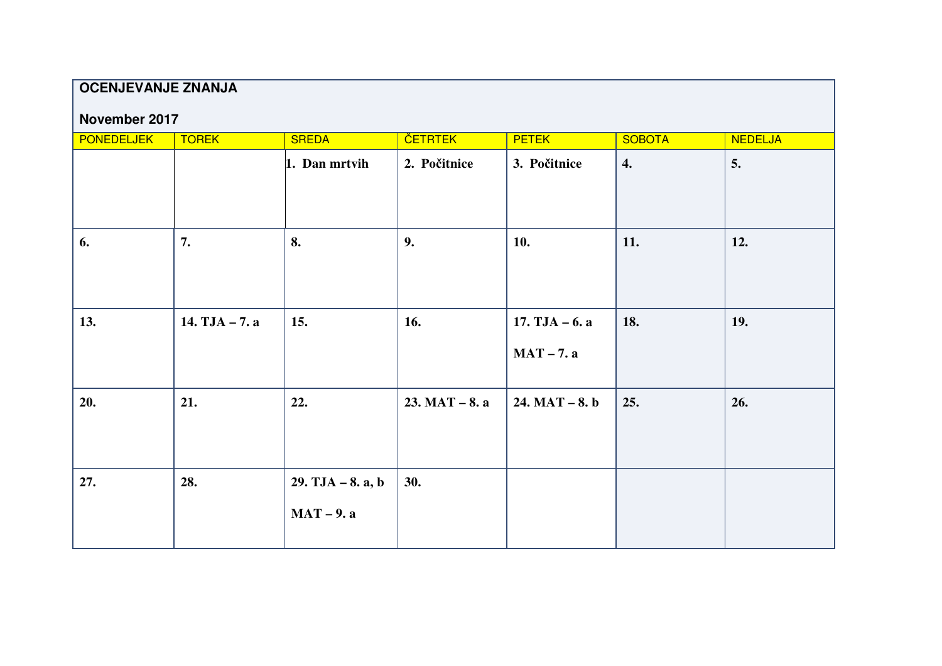# **OCENJEVANJE ZNANJA**

### **November 2017**

| <b>PONEDELJEK</b> | <b>TOREK</b>     | <b>SREDA</b>                        | <b>ČETRTEK</b>   | <b>PETEK</b>                     | <b>SOBOTA</b>      | <b>NEDELJA</b> |
|-------------------|------------------|-------------------------------------|------------------|----------------------------------|--------------------|----------------|
|                   |                  | 1. Dan mrtvih                       | 2. Počitnice     | 3. Počitnice                     | $\boldsymbol{4}$ . | 5.             |
| 6.                | 7.               | 8.                                  | 9.               | 10.                              | 11.                | 12.            |
| 13.               | 14. $TJA - 7. a$ | 15.                                 | 16.              | $17. TJA - 6. a$<br>$MAT - 7. a$ | 18.                | 19.            |
| 20.               | 21.              | 22.                                 | $23. MAT - 8. a$ | $24. MAT - 8. b$                 | 25.                | 26.            |
| 27.               | 28.              | $29. TJA - 8. a, b$<br>$MAT - 9. a$ | 30.              |                                  |                    |                |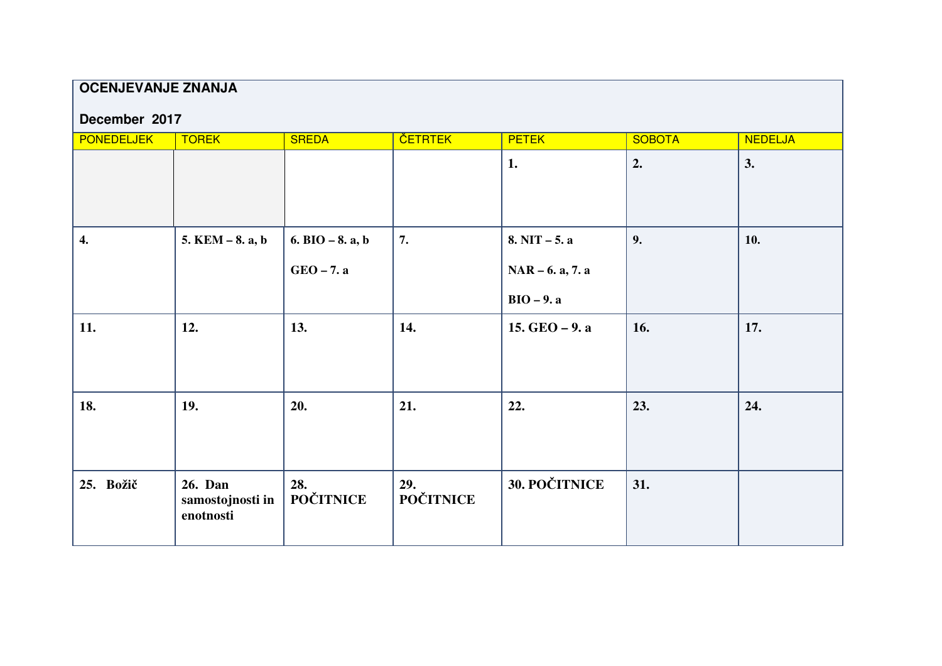## **OCENJEVANJE ZNANJA**

| December 2017 |  |
|---------------|--|
|               |  |

| <b>PONEDELJEK</b> | <b>TOREK</b>                             | <b>SREDA</b>                       | <b>ČETRTEK</b>          | <b>PETEK</b>                                          | <b>SOBOTA</b> | <b>NEDELJA</b> |
|-------------------|------------------------------------------|------------------------------------|-------------------------|-------------------------------------------------------|---------------|----------------|
|                   |                                          |                                    |                         | 1.                                                    | 2.            | 3.             |
| 4.                | $5.$ KEM $-8.$ a, b                      | 6. BIO $-8$ . a, b<br>$GEO - 7.$ a | 7.                      | $8. NIT - 5. a$<br>$NAR - 6. a, 7. a$<br>$BIO - 9. a$ | 9.            | 10.            |
| 11.               | 12.                                      | 13.                                | 14.                     | 15. $GEO - 9.$ a                                      | 16.           | 17.            |
| 18.               | 19.                                      | 20.                                | 21.                     | 22.                                                   | 23.           | 24.            |
| 25. Božič         | 26. Dan<br>samostojnosti in<br>enotnosti | 28.<br><b>POČITNICE</b>            | 29.<br><b>POČITNICE</b> | 30. POČITNICE                                         | 31.           |                |